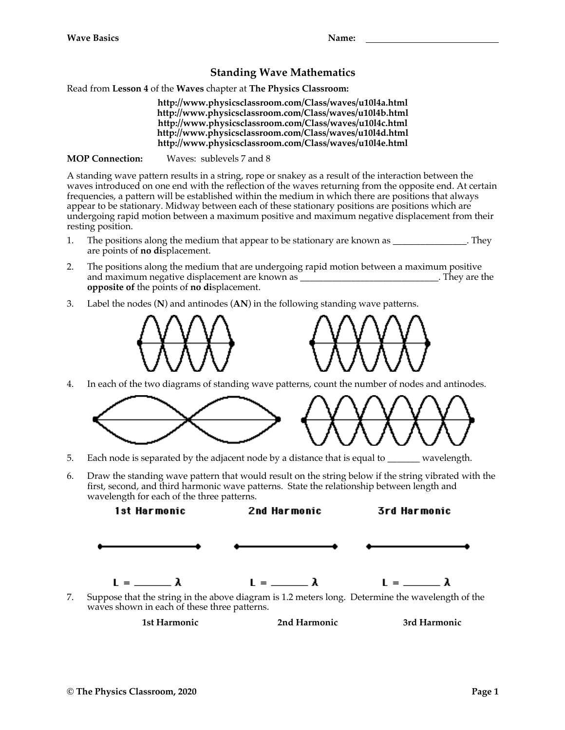## **Standing Wave Mathematics**

Read from **Lesson 4** of the **Waves** chapter at **The Physics Classroom:**

**http://www.physicsclassroom.com/Class/waves/u10l4a.html http://www.physicsclassroom.com/Class/waves/u10l4b.html http://www.physicsclassroom.com/Class/waves/u10l4c.html http://www.physicsclassroom.com/Class/waves/u10l4d.html http://www.physicsclassroom.com/Class/waves/u10l4e.html**

**MOP Connection:** Waves: sublevels 7 and 8

A standing wave pattern results in a string, rope or snakey as a result of the interaction between the waves introduced on one end with the reflection of the waves returning from the opposite end. At certain frequencies, a pattern will be established within the medium in which there are positions that always appear to be stationary. Midway between each of these stationary positions are positions which are undergoing rapid motion between a maximum positive and maximum negative displacement from their resting position.

- 1. The positions along the medium that appear to be stationary are known as  $\qquad \qquad$ . They are points of **no di**splacement.
- 2. The positions along the medium that are undergoing rapid motion between a maximum positive and maximum negative displacement are known as \_\_\_\_\_\_\_\_\_\_\_\_\_\_\_\_\_\_\_\_\_\_\_\_\_\_\_\_\_\_. They are the **opposite of** the points of **no di**splacement.
- 3. Label the nodes (**N**) and antinodes (**AN**) in the following standing wave patterns.



4. In each of the two diagrams of standing wave patterns, count the number of nodes and antinodes.



- 5. Each node is separated by the adjacent node by a distance that is equal to \_\_\_\_\_\_\_ wavelength.
- 6. Draw the standing wave pattern that would result on the string below if the string vibrated with the first, second, and third harmonic wave patterns. State the relationship between length and wavelength for each of the three patterns.



7. Suppose that the string in the above diagram is 1.2 meters long. Determine the wavelength of the waves shown in each of these three patterns.

**1st Harmonic 2nd Harmonic 3rd Harmonic**